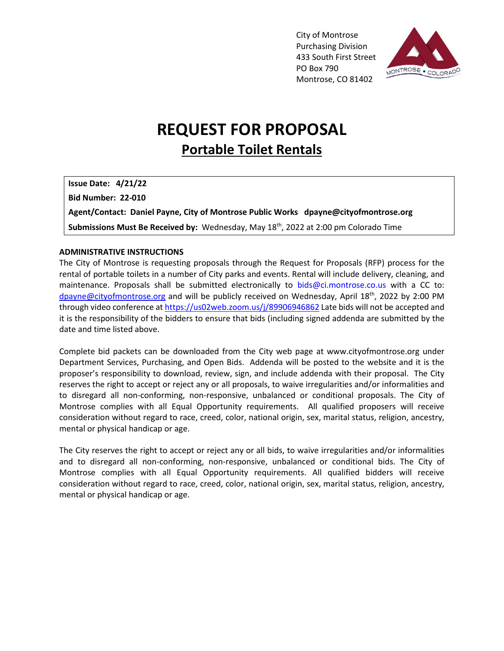City of Montrose Purchasing Division 433 South First Street PO Box 790 Montrose, CO 81402



# **REQUEST FOR PROPOSAL Portable Toilet Rentals**

**Issue Date: 4/21/22**

**Bid Number: 22-010**

**Agent/Contact: Daniel Payne, City of Montrose Public Works dpayne@cityofmontrose.org**

**Submissions Must Be Received by:** Wednesday, May 18th, 2022 at 2:00 pm Colorado Time

# **ADMINISTRATIVE INSTRUCTIONS**

The City of Montrose is requesting proposals through the Request for Proposals (RFP) process for the rental of portable toilets in a number of City parks and events. Rental will include delivery, cleaning, and maintenance. Proposals shall be submitted electronically to bids@ci.montrose.co.us with a CC to: [dpayne@cityofmontrose.org](mailto:dpayne@cityofmontrose.org) and will be publicly received on Wednesday, April 18<sup>th</sup>, 2022 by 2:00 PM through video conference at <https://us02web.zoom.us/j/89906946862> Late bids will not be accepted and it is the responsibility of the bidders to ensure that bids (including signed addenda are submitted by the date and time listed above.

Complete bid packets can be downloaded from the City web page at www.cityofmontrose.org under Department Services, Purchasing, and Open Bids. Addenda will be posted to the website and it is the proposer's responsibility to download, review, sign, and include addenda with their proposal. The City reserves the right to accept or reject any or all proposals, to waive irregularities and/or informalities and to disregard all non-conforming, non-responsive, unbalanced or conditional proposals. The City of Montrose complies with all Equal Opportunity requirements. All qualified proposers will receive consideration without regard to race, creed, color, national origin, sex, marital status, religion, ancestry, mental or physical handicap or age.

The City reserves the right to accept or reject any or all bids, to waive irregularities and/or informalities and to disregard all non-conforming, non-responsive, unbalanced or conditional bids. The City of Montrose complies with all Equal Opportunity requirements. All qualified bidders will receive consideration without regard to race, creed, color, national origin, sex, marital status, religion, ancestry, mental or physical handicap or age.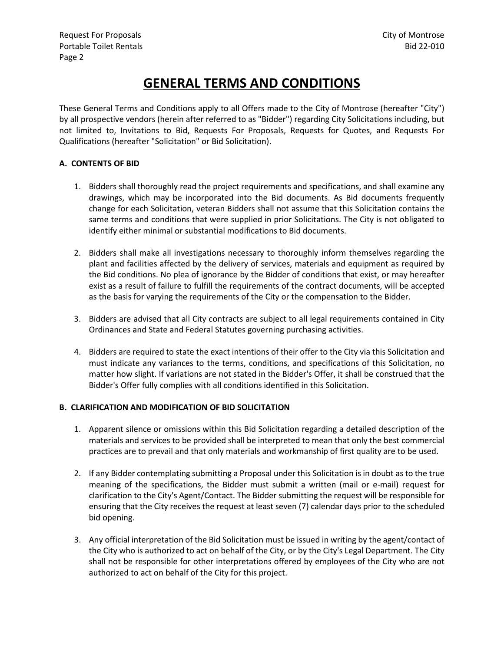# **GENERAL TERMS AND CONDITIONS**

These General Terms and Conditions apply to all Offers made to the City of Montrose (hereafter "City") by all prospective vendors (herein after referred to as "Bidder") regarding City Solicitations including, but not limited to, Invitations to Bid, Requests For Proposals, Requests for Quotes, and Requests For Qualifications (hereafter "Solicitation" or Bid Solicitation).

# **A. CONTENTS OF BID**

- 1. Bidders shall thoroughly read the project requirements and specifications, and shall examine any drawings, which may be incorporated into the Bid documents. As Bid documents frequently change for each Solicitation, veteran Bidders shall not assume that this Solicitation contains the same terms and conditions that were supplied in prior Solicitations. The City is not obligated to identify either minimal or substantial modifications to Bid documents.
- 2. Bidders shall make all investigations necessary to thoroughly inform themselves regarding the plant and facilities affected by the delivery of services, materials and equipment as required by the Bid conditions. No plea of ignorance by the Bidder of conditions that exist, or may hereafter exist as a result of failure to fulfill the requirements of the contract documents, will be accepted as the basis for varying the requirements of the City or the compensation to the Bidder.
- 3. Bidders are advised that all City contracts are subject to all legal requirements contained in City Ordinances and State and Federal Statutes governing purchasing activities.
- 4. Bidders are required to state the exact intentions of their offer to the City via this Solicitation and must indicate any variances to the terms, conditions, and specifications of this Solicitation, no matter how slight. If variations are not stated in the Bidder's Offer, it shall be construed that the Bidder's Offer fully complies with all conditions identified in this Solicitation.

# **B. CLARIFICATION AND MODIFICATION OF BID SOLICITATION**

- 1. Apparent silence or omissions within this Bid Solicitation regarding a detailed description of the materials and services to be provided shall be interpreted to mean that only the best commercial practices are to prevail and that only materials and workmanship of first quality are to be used.
- 2. If any Bidder contemplating submitting a Proposal under this Solicitation is in doubt as to the true meaning of the specifications, the Bidder must submit a written (mail or e-mail) request for clarification to the City's Agent/Contact. The Bidder submitting the request will be responsible for ensuring that the City receives the request at least seven (7) calendar days prior to the scheduled bid opening.
- 3. Any official interpretation of the Bid Solicitation must be issued in writing by the agent/contact of the City who is authorized to act on behalf of the City, or by the City's Legal Department. The City shall not be responsible for other interpretations offered by employees of the City who are not authorized to act on behalf of the City for this project.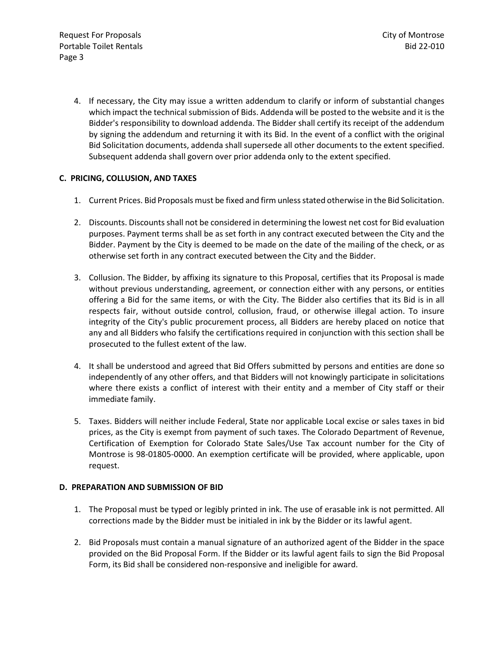4. If necessary, the City may issue a written addendum to clarify or inform of substantial changes which impact the technical submission of Bids. Addenda will be posted to the website and it is the Bidder's responsibility to download addenda. The Bidder shall certify its receipt of the addendum by signing the addendum and returning it with its Bid. In the event of a conflict with the original Bid Solicitation documents, addenda shall supersede all other documents to the extent specified. Subsequent addenda shall govern over prior addenda only to the extent specified.

# **C. PRICING, COLLUSION, AND TAXES**

- 1. Current Prices. Bid Proposals must be fixed and firm unless stated otherwise in the Bid Solicitation.
- 2. Discounts. Discounts shall not be considered in determining the lowest net cost for Bid evaluation purposes. Payment terms shall be as set forth in any contract executed between the City and the Bidder. Payment by the City is deemed to be made on the date of the mailing of the check, or as otherwise set forth in any contract executed between the City and the Bidder.
- 3. Collusion. The Bidder, by affixing its signature to this Proposal, certifies that its Proposal is made without previous understanding, agreement, or connection either with any persons, or entities offering a Bid for the same items, or with the City. The Bidder also certifies that its Bid is in all respects fair, without outside control, collusion, fraud, or otherwise illegal action. To insure integrity of the City's public procurement process, all Bidders are hereby placed on notice that any and all Bidders who falsify the certifications required in conjunction with this section shall be prosecuted to the fullest extent of the law.
- 4. It shall be understood and agreed that Bid Offers submitted by persons and entities are done so independently of any other offers, and that Bidders will not knowingly participate in solicitations where there exists a conflict of interest with their entity and a member of City staff or their immediate family.
- 5. Taxes. Bidders will neither include Federal, State nor applicable Local excise or sales taxes in bid prices, as the City is exempt from payment of such taxes. The Colorado Department of Revenue, Certification of Exemption for Colorado State Sales/Use Tax account number for the City of Montrose is 98-01805-0000. An exemption certificate will be provided, where applicable, upon request.

# **D. PREPARATION AND SUBMISSION OF BID**

- 1. The Proposal must be typed or legibly printed in ink. The use of erasable ink is not permitted. All corrections made by the Bidder must be initialed in ink by the Bidder or its lawful agent.
- 2. Bid Proposals must contain a manual signature of an authorized agent of the Bidder in the space provided on the Bid Proposal Form. If the Bidder or its lawful agent fails to sign the Bid Proposal Form, its Bid shall be considered non-responsive and ineligible for award.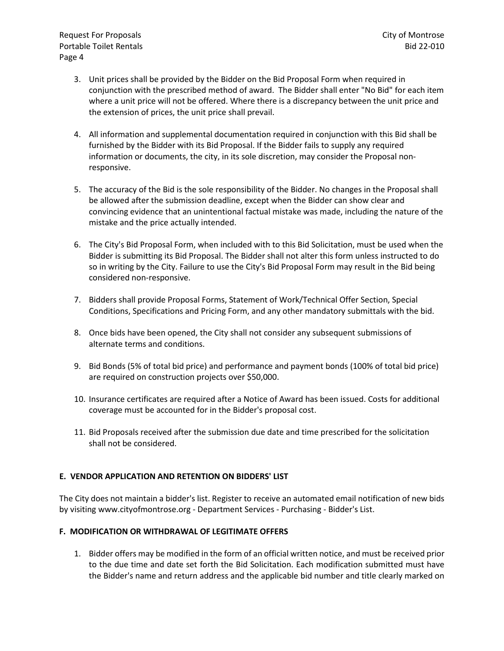Request For Proposals City of Montrose Portable Toilet Rentals and the set of the set of the set of the set of the set of the set of the set of the set of the set of the set of the set of the set of the set of the set of the set of the set of the set of the set Page 4

- 3. Unit prices shall be provided by the Bidder on the Bid Proposal Form when required in conjunction with the prescribed method of award. The Bidder shall enter "No Bid" for each item where a unit price will not be offered. Where there is a discrepancy between the unit price and the extension of prices, the unit price shall prevail.
- 4. All information and supplemental documentation required in conjunction with this Bid shall be furnished by the Bidder with its Bid Proposal. If the Bidder fails to supply any required information or documents, the city, in its sole discretion, may consider the Proposal nonresponsive.
- 5. The accuracy of the Bid is the sole responsibility of the Bidder. No changes in the Proposal shall be allowed after the submission deadline, except when the Bidder can show clear and convincing evidence that an unintentional factual mistake was made, including the nature of the mistake and the price actually intended.
- 6. The City's Bid Proposal Form, when included with to this Bid Solicitation, must be used when the Bidder is submitting its Bid Proposal. The Bidder shall not alter this form unless instructed to do so in writing by the City. Failure to use the City's Bid Proposal Form may result in the Bid being considered non-responsive.
- 7. Bidders shall provide Proposal Forms, Statement of Work/Technical Offer Section, Special Conditions, Specifications and Pricing Form, and any other mandatory submittals with the bid.
- 8. Once bids have been opened, the City shall not consider any subsequent submissions of alternate terms and conditions.
- 9. Bid Bonds (5% of total bid price) and performance and payment bonds (100% of total bid price) are required on construction projects over \$50,000.
- 10. Insurance certificates are required after a Notice of Award has been issued. Costs for additional coverage must be accounted for in the Bidder's proposal cost.
- 11. Bid Proposals received after the submission due date and time prescribed for the solicitation shall not be considered.

# **E. VENDOR APPLICATION AND RETENTION ON BIDDERS' LIST**

The City does not maintain a bidder's list. Register to receive an automated email notification of new bids by visiting www.cityofmontrose.org - Department Services - Purchasing - Bidder's List.

# **F. MODIFICATION OR WITHDRAWAL OF LEGITIMATE OFFERS**

1. Bidder offers may be modified in the form of an official written notice, and must be received prior to the due time and date set forth the Bid Solicitation. Each modification submitted must have the Bidder's name and return address and the applicable bid number and title clearly marked on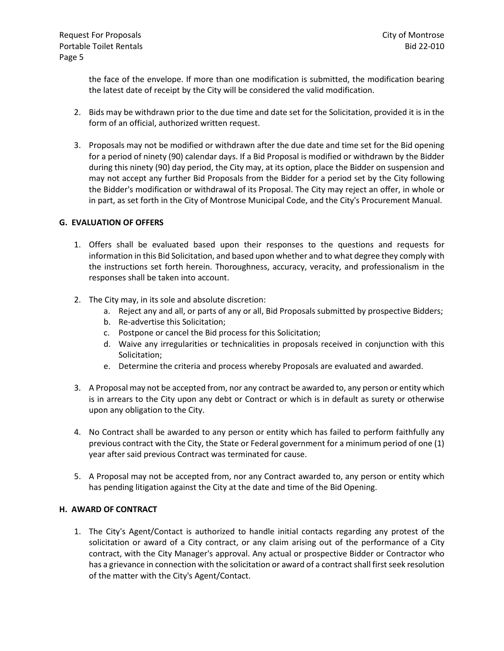the face of the envelope. If more than one modification is submitted, the modification bearing the latest date of receipt by the City will be considered the valid modification.

- 2. Bids may be withdrawn prior to the due time and date set for the Solicitation, provided it is in the form of an official, authorized written request.
- 3. Proposals may not be modified or withdrawn after the due date and time set for the Bid opening for a period of ninety (90) calendar days. If a Bid Proposal is modified or withdrawn by the Bidder during this ninety (90) day period, the City may, at its option, place the Bidder on suspension and may not accept any further Bid Proposals from the Bidder for a period set by the City following the Bidder's modification or withdrawal of its Proposal. The City may reject an offer, in whole or in part, as set forth in the City of Montrose Municipal Code, and the City's Procurement Manual.

# **G. EVALUATION OF OFFERS**

- 1. Offers shall be evaluated based upon their responses to the questions and requests for information in this Bid Solicitation, and based upon whether and to what degree they comply with the instructions set forth herein. Thoroughness, accuracy, veracity, and professionalism in the responses shall be taken into account.
- 2. The City may, in its sole and absolute discretion:
	- a. Reject any and all, or parts of any or all, Bid Proposals submitted by prospective Bidders;
	- b. Re-advertise this Solicitation;
	- c. Postpone or cancel the Bid process for this Solicitation;
	- d. Waive any irregularities or technicalities in proposals received in conjunction with this Solicitation;
	- e. Determine the criteria and process whereby Proposals are evaluated and awarded.
- 3. A Proposal may not be accepted from, nor any contract be awarded to, any person or entity which is in arrears to the City upon any debt or Contract or which is in default as surety or otherwise upon any obligation to the City.
- 4. No Contract shall be awarded to any person or entity which has failed to perform faithfully any previous contract with the City, the State or Federal government for a minimum period of one (1) year after said previous Contract was terminated for cause.
- 5. A Proposal may not be accepted from, nor any Contract awarded to, any person or entity which has pending litigation against the City at the date and time of the Bid Opening.

#### **H. AWARD OF CONTRACT**

1. The City's Agent/Contact is authorized to handle initial contacts regarding any protest of the solicitation or award of a City contract, or any claim arising out of the performance of a City contract, with the City Manager's approval. Any actual or prospective Bidder or Contractor who has a grievance in connection with the solicitation or award of a contract shall first seek resolution of the matter with the City's Agent/Contact.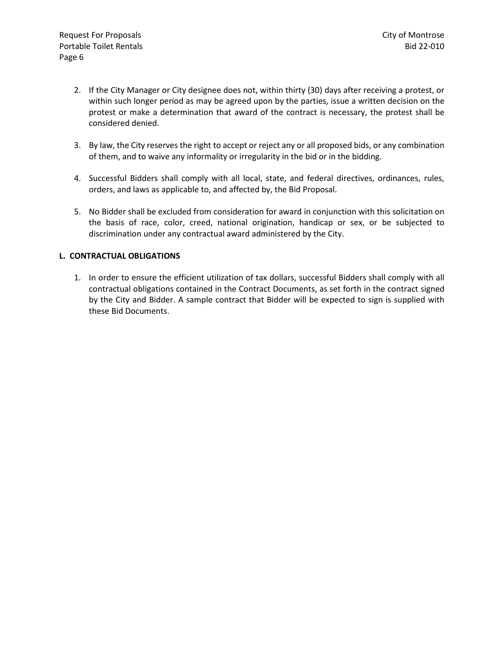- 2. If the City Manager or City designee does not, within thirty (30) days after receiving a protest, or within such longer period as may be agreed upon by the parties, issue a written decision on the protest or make a determination that award of the contract is necessary, the protest shall be considered denied.
- 3. By law, the City reserves the right to accept or reject any or all proposed bids, or any combination of them, and to waive any informality or irregularity in the bid or in the bidding.
- 4. Successful Bidders shall comply with all local, state, and federal directives, ordinances, rules, orders, and laws as applicable to, and affected by, the Bid Proposal.
- 5. No Bidder shall be excluded from consideration for award in conjunction with this solicitation on the basis of race, color, creed, national origination, handicap or sex, or be subjected to discrimination under any contractual award administered by the City.

# **L. CONTRACTUAL OBLIGATIONS**

1. In order to ensure the efficient utilization of tax dollars, successful Bidders shall comply with all contractual obligations contained in the Contract Documents, as set forth in the contract signed by the City and Bidder. A sample contract that Bidder will be expected to sign is supplied with these Bid Documents.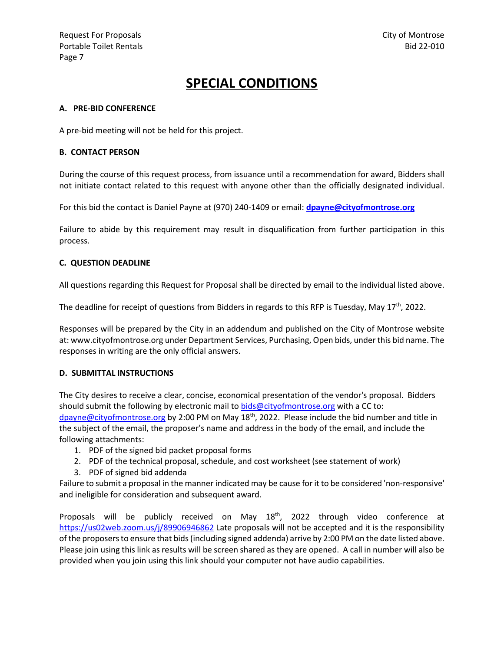# **SPECIAL CONDITIONS**

### **A. PRE-BID CONFERENCE**

A pre-bid meeting will not be held for this project.

#### **B. CONTACT PERSON**

During the course of this request process, from issuance until a recommendation for award, Bidders shall not initiate contact related to this request with anyone other than the officially designated individual.

For this bid the contact is Daniel Payne at (970) 240-1409 or email: **[dpayne@cityofmontrose.org](mailto:dpayne@cityofmontrose.org)**

Failure to abide by this requirement may result in disqualification from further participation in this process.

#### **C. QUESTION DEADLINE**

All questions regarding this Request for Proposal shall be directed by email to the individual listed above.

The deadline for receipt of questions from Bidders in regards to this RFP is Tuesday, May 17<sup>th</sup>, 2022.

Responses will be prepared by the City in an addendum and published on the City of Montrose website at: www.cityofmontrose.org under Department Services, Purchasing, Open bids, under this bid name. The responses in writing are the only official answers.

# **D. SUBMITTAL INSTRUCTIONS**

The City desires to receive a clear, concise, economical presentation of the vendor's proposal. Bidders should submit the following by electronic mail to [bids@cityofmontrose.org](mailto:bids@cityofmontrose.org) with a CC to: [dpayne@cityofmontrose.org](mailto:dpayne@cityofmontrose.org) by 2:00 PM on May 18<sup>th</sup>, 2022. Please include the bid number and title in the subject of the email, the proposer's name and address in the body of the email, and include the following attachments:

- 1. PDF of the signed bid packet proposal forms
- 2. PDF of the technical proposal, schedule, and cost worksheet (see statement of work)
- 3. PDF of signed bid addenda

Failure to submit a proposal in the manner indicated may be cause for it to be considered 'non-responsive' and ineligible for consideration and subsequent award.

Proposals will be publicly received on May 18<sup>th</sup>, 2022 through video conference at <https://us02web.zoom.us/j/89906946862> Late proposals will not be accepted and it is the responsibility of the proposers to ensure that bids (including signed addenda) arrive by 2:00 PM on the date listed above. Please join using this link as results will be screen shared as they are opened. A call in number will also be provided when you join using this link should your computer not have audio capabilities.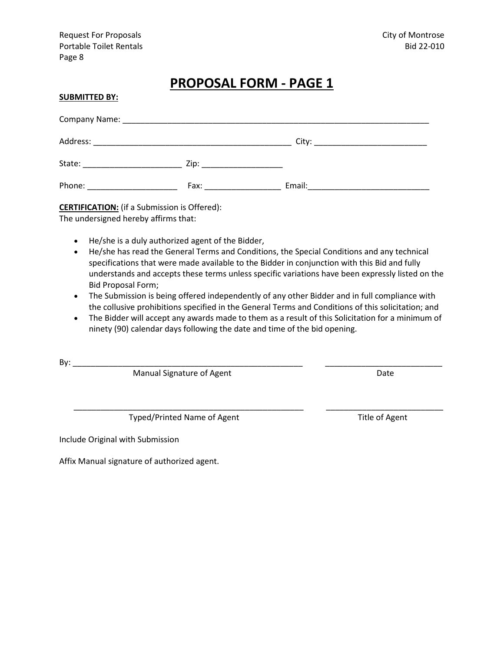Request For Proposals City of Montrose Portable Toilet Rentals and the set of the set of the set of the set of the set of the set of the set of the set of the set of the set of the set of the set of the set of the set of the set of the set of the set of the set Page 8

# **PROPOSAL FORM - PAGE 1**

| <b>SUBMITTED BY:</b>                                                                                                                                                                                                           |                                                                                                                                                                                                                               |  |
|--------------------------------------------------------------------------------------------------------------------------------------------------------------------------------------------------------------------------------|-------------------------------------------------------------------------------------------------------------------------------------------------------------------------------------------------------------------------------|--|
|                                                                                                                                                                                                                                |                                                                                                                                                                                                                               |  |
|                                                                                                                                                                                                                                |                                                                                                                                                                                                                               |  |
|                                                                                                                                                                                                                                |                                                                                                                                                                                                                               |  |
| Phone: New York Phone: New York Phone: New York Phone: New York Phone: New York Phone: New York Phone: New York Phone: New York Phone: New York Phone: New York Phone: New York Phone: New York Phone: New York Phone: New Yor | Fax: Exercise and the second service of the series of the series of the series of the series of the series of the series of the series of the series of the series of the series of the series of the series of the series of |  |

**CERTIFICATION:** (if a Submission is Offered): The undersigned hereby affirms that:

- He/she is a duly authorized agent of the Bidder,
- He/she has read the General Terms and Conditions, the Special Conditions and any technical specifications that were made available to the Bidder in conjunction with this Bid and fully understands and accepts these terms unless specific variations have been expressly listed on the Bid Proposal Form;
- The Submission is being offered independently of any other Bidder and in full compliance with the collusive prohibitions specified in the General Terms and Conditions of this solicitation; and
- The Bidder will accept any awards made to them as a result of this Solicitation for a minimum of ninety (90) calendar days following the date and time of the bid opening.

\_\_\_\_\_\_\_\_\_\_\_\_\_\_\_\_\_\_\_\_\_\_\_\_\_\_\_\_\_\_\_\_\_\_\_\_\_\_\_\_\_\_\_\_\_\_\_\_\_\_\_ \_\_\_\_\_\_\_\_\_\_\_\_\_\_\_\_\_\_\_\_\_\_\_\_\_\_

By: \_\_\_\_\_\_\_\_\_\_\_\_\_\_\_\_\_\_\_\_\_\_\_\_\_\_\_\_\_\_\_\_\_\_\_\_\_\_\_\_\_\_\_\_\_\_\_\_\_\_\_ \_\_\_\_\_\_\_\_\_\_\_\_\_\_\_\_\_\_\_\_\_\_\_\_\_\_

Manual Signature of Agent **Date** Date

Typed/Printed Name of Agent Title of Agent

Include Original with Submission

Affix Manual signature of authorized agent.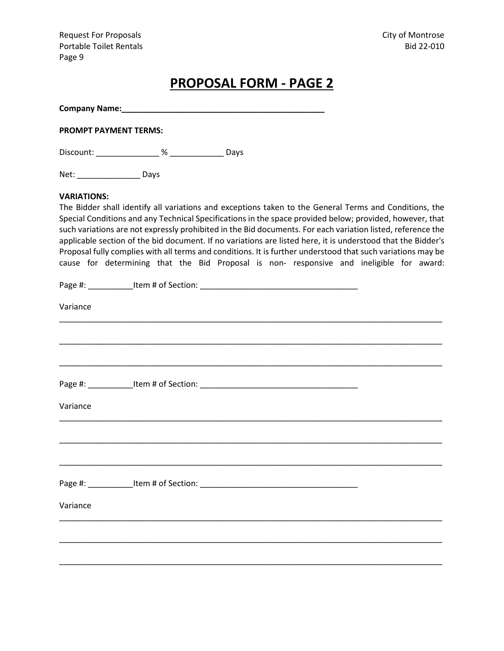Request For Proposals **City of Montrose** Portable Toilet Rentals and the set of the set of the set of the set of the set of the set of the set of the set of the set of the set of the set of the set of the set of the set of the set of the set of the set of the set Page 9

# **PROPOSAL FORM - PAGE 2**

**Company Name:\_\_\_\_\_\_\_\_\_\_\_\_\_\_\_\_\_\_\_\_\_\_\_\_\_\_\_\_\_\_\_\_\_\_\_\_\_\_\_\_\_\_\_\_\_**

**PROMPT PAYMENT TERMS:**

Discount: \_\_\_\_\_\_\_\_\_\_\_\_\_\_ % \_\_\_\_\_\_\_\_\_\_\_\_ Days

Net: \_\_\_\_\_\_\_\_\_\_\_\_\_\_\_\_\_\_\_ Days

#### **VARIATIONS:**

The Bidder shall identify all variations and exceptions taken to the General Terms and Conditions, the Special Conditions and any Technical Specifications in the space provided below; provided, however, that such variations are not expressly prohibited in the Bid documents. For each variation listed, reference the applicable section of the bid document. If no variations are listed here, it is understood that the Bidder's Proposal fully complies with all terms and conditions. It is further understood that such variations may be cause for determining that the Bid Proposal is non- responsive and ineligible for award:

| Variance |  |  |
|----------|--|--|
|          |  |  |
|          |  |  |
| Variance |  |  |
|          |  |  |
|          |  |  |
| Variance |  |  |
|          |  |  |
|          |  |  |